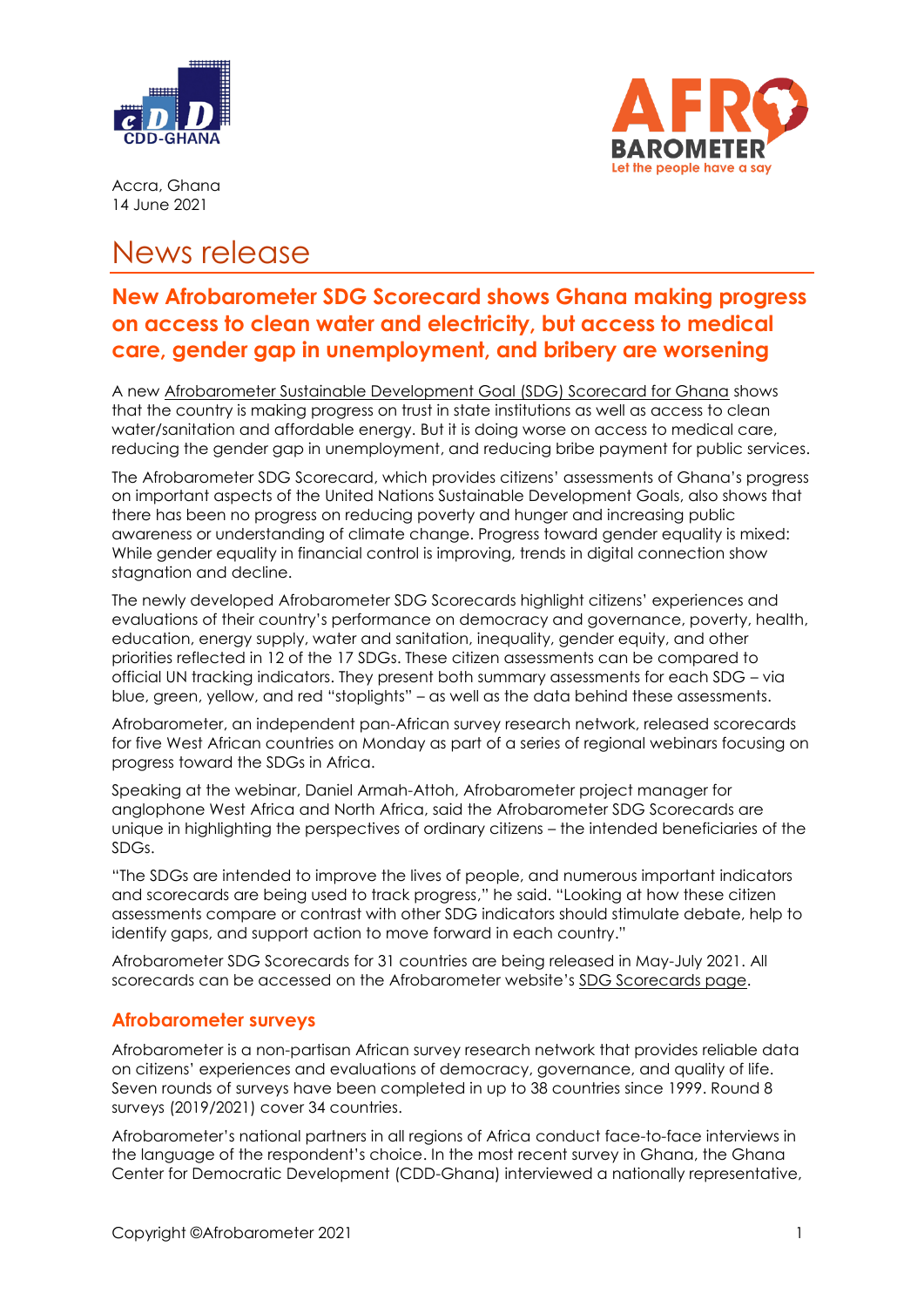



Accra, Ghana 14 June 2021

## News release

## **New Afrobarometer SDG Scorecard shows Ghana making progress on access to clean water and electricity, but access to medical care, gender gap in unemployment, and bribery are worsening**

A new [Afrobarometer Sustainable Development Goal \(SDG\) Scorecard for Ghana](https://afrobarometer.org/publications/ghana-sdg-scorecard) shows that the country is making progress on trust in state institutions as well as access to clean water/sanitation and affordable energy. But it is doing worse on access to medical care, reducing the gender gap in unemployment, and reducing bribe payment for public services.

The Afrobarometer SDG Scorecard, which provides citizens' assessments of Ghana's progress on important aspects of the United Nations Sustainable Development Goals, also shows that there has been no progress on reducing poverty and hunger and increasing public awareness or understanding of climate change. Progress toward gender equality is mixed: While gender equality in financial control is improving, trends in digital connection show stagnation and decline.

The newly developed Afrobarometer SDG Scorecards highlight citizens' experiences and evaluations of their country's performance on democracy and governance, poverty, health, education, energy supply, water and sanitation, inequality, gender equity, and other priorities reflected in 12 of the 17 SDGs. These citizen assessments can be compared to official UN tracking indicators. They present both summary assessments for each SDG – via blue, green, yellow, and red "stoplights" – as well as the data behind these assessments.

Afrobarometer, an independent pan-African survey research network, released scorecards for five West African countries on Monday as part of a series of regional webinars focusing on progress toward the SDGs in Africa.

Speaking at the webinar, Daniel Armah-Attoh, Afrobarometer project manager for anglophone West Africa and North Africa, said the Afrobarometer SDG Scorecards are unique in highlighting the perspectives of ordinary citizens – the intended beneficiaries of the SDGs.

"The SDGs are intended to improve the lives of people, and numerous important indicators and scorecards are being used to track progress," he said. "Looking at how these citizen assessments compare or contrast with other SDG indicators should stimulate debate, help to identify gaps, and support action to move forward in each country."

Afrobarometer SDG Scorecards for 31 countries are being released in May-July 2021. All scorecards can be accessed on the Afrobarometer website's [SDG Scorecards page.](https://afrobarometer.org/sdg)

## **Afrobarometer surveys**

Afrobarometer is a non-partisan African survey research network that provides reliable data on citizens' experiences and evaluations of democracy, governance, and quality of life. Seven rounds of surveys have been completed in up to 38 countries since 1999. Round 8 surveys (2019/2021) cover 34 countries.

Afrobarometer's national partners in all regions of Africa conduct face-to-face interviews in the language of the respondent's choice. In the most recent survey in Ghana, the Ghana Center for Democratic Development (CDD-Ghana) interviewed a nationally representative,